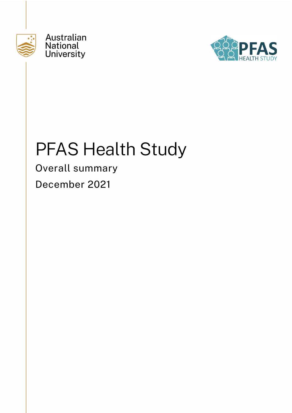

Australian **National University** 



# PFAS Health Study

Overall summary December 2021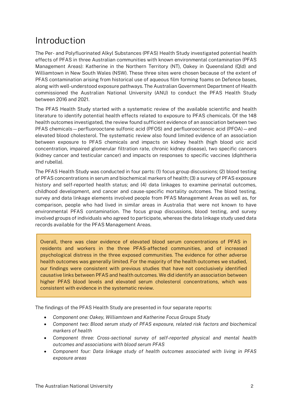## Introduction

The Per- and Polyfluorinated Alkyl Substances (PFAS) Health Study investigated potential health effects of PFAS in three Australian communities with known environmental contamination (PFAS Management Areas): Katherine in the Northern Territory (NT), Oakey in Queensland (Qld) and Williamtown in New South Wales (NSW). These three sites were chosen because of the extent of PFAS contamination arising from historical use of aqueous film forming foams on Defence bases, along with well-understood exposure pathways. The Australian Government Department of Health commissioned the Australian National University (ANU) to conduct the PFAS Health Study between 2016 and 2021.

The PFAS Health Study started with a systematic review of the available scientific and health literature to identify potential health effects related to exposure to PFAS chemicals. Of the 148 health outcomes investigated, the review found sufficient evidence of an association between two PFAS chemicals—perfluorooctane sulfonic acid (PFOS) and perfluorooctanoic acid (PFOA)—and elevated blood cholesterol. The systematic review also found limited evidence of an association between exposure to PFAS chemicals and impacts on kidney health (high blood uric acid concentration, impaired glomerular filtration rate, chronic kidney disease), two specific cancers (kidney cancer and testicular cancer) and impacts on responses to specific vaccines (diphtheria and rubella).

The PFAS Health Study was conducted in four parts: (1) focus group discussions; (2) blood testing of PFAS concentrations in serum and biochemical markers of health; (3) a survey of PFAS exposure history and self-reported health status; and (4) data linkages to examine perinatal outcomes, childhood development, and cancer and cause-specific mortality outcomes. The blood testing, survey and data linkage elements involved people from PFAS Management Areas as well as, for comparison, people who had lived in similar areas in Australia that were not known to have environmental PFAS contamination. The focus group discussions, blood testing, and survey involved groups of individuals who agreed to participate, whereas the data linkage study used data records available for the PFAS Management Areas.

Overall, there was clear evidence of elevated blood serum concentrations of PFAS in residents and workers in the three PFAS-affected communities, and of increased psychological distress in the three exposed communities. The evidence for other adverse health outcomes was generally limited. For the majority of the health outcomes we studied, our findings were consistent with previous studies that have not conclusively identified causative links between PFAS and health outcomes. We did identify an association between higher PFAS blood levels and elevated serum cholesterol concentrations, which was consistent with evidence in the systematic review.

The findings of the PFAS Health Study are presented in four separate reports:

- *Component one: Oakey, Williamtown and Katherine Focus Groups Study*
- *Component two: Blood serum study of PFAS exposure, related risk factors and biochemical markers of health*
- *Component three: Cross-sectional survey of self-reported physical and mental health outcomes and associations with blood serum PFAS*
- *Component four: Data linkage study of health outcomes associated with living in PFAS exposure areas*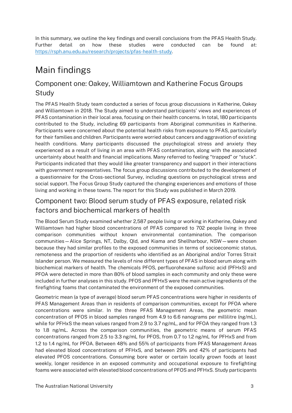In this summary, we outline the key findings and overall conclusions from the PFAS Health Study. Further detail on how these studies were conducted can be found at: [https://rsph.anu.edu.au/research/projects/pfas-health-study.](https://rsph.anu.edu.au/research/projects/pfas-health-study)

# Main findings

#### Component one: Oakey, Williamtown and Katherine Focus Groups Study

The PFAS Health Study team conducted a series of focus group discussions in Katherine, Oakey and Williamtown in 2018. The Study aimed to understand participants' views and experiences of PFAS contamination in their local area, focusing on their health concerns. In total, 180 participants contributed to the Study, including 69 participants from Aboriginal communities in Katherine. Participants were concerned about the potential health risks from exposure to PFAS, particularly for their families and children. Participants were worried about cancers and aggravation of existing health conditions. Many participants discussed the psychological stress and anxiety they experienced as a result of living in an area with PFAS contamination, along with the associated uncertainty about health and financial implications. Many referred to feeling "trapped" or "stuck". Participants indicated that they would like greater transparency and support in their interactions with government representatives. The focus group discussions contributed to the development of a questionnaire for the Cross-sectional Survey, including questions on psychological stress and social support. The Focus Group Study captured the changing experiences and emotions of those living and working in these towns. The report for this Study was published in March 2019.

#### Component two: Blood serum study of PFAS exposure, related risk factors and biochemical markers of health

The Blood Serum Study examined whether 2,587 people living or working in Katherine, Oakey and Williamtown had higher blood concentrations of PFAS compared to 702 people living in three comparison communities without known environmental contamination. The comparison communities—Alice Springs, NT, Dalby, Qld, and Kiama and Shellharbour, NSW—were chosen because they had similar profiles to the exposed communities in terms of socioeconomic status, remoteness and the proportion of residents who identified as an Aboriginal and/or Torres Strait Islander person. We measured the levels of nine different types of PFAS in blood serum along with biochemical markers of health. The chemicals PFOS, perfluorohexane sulfonic acid (PFHxS) and PFOA were detected in more than 80% of blood samples in each community and only these were included in further analyses in this study. PFOS and PFHxS were the main active ingredients of the firefighting foams that contaminated the environment of the exposed communities.

Geometric mean (a type of average) blood serum PFAS concentrations were higher in residents of PFAS Management Areas than in residents of comparison communities, except for PFOA where concentrations were similar. In the three PFAS Management Areas, the geometric mean concentration of PFOS in blood samples ranged from 4.9 to 6.6 nanograms per millilitre (ng/mL), while for PFHxS the mean values ranged from 2.9 to 3.7 ng/mL, and for PFOA they ranged from 1.3 to 1.8 ng/mL. Across the comparison communities, the geometric means of serum PFAS concentrations ranged from 2.5 to 3.3 ng/mL for PFOS, from 0.7 to 1.2 ng/mL for PFHxS and from 1.2 to 1.4 ng/mL for PFOA. Between 48% and 55% of participants from PFAS Management Areas had elevated blood concentrations of PFHxS, and between 29% and 42% of participants had elevated PFOS concentrations. Consuming bore water or certain locally grown foods at least weekly, longer residence in an exposed community and occupational exposure to firefighting foams were associated with elevated blood concentrations of PFOS and PFHxS. Study participants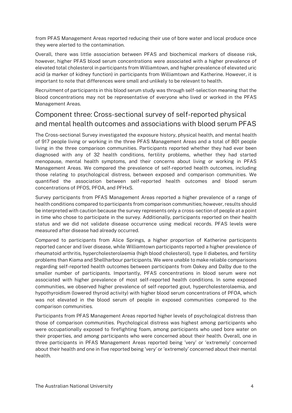from PFAS Management Areas reported reducing their use of bore water and local produce once they were alerted to the contamination.

Overall, there was little association between PFAS and biochemical markers of disease risk, however, higher PFAS blood serum concentrations were associated with a higher prevalence of elevated total cholesterol in participants from Williamtown, and higher prevalence of elevated uric acid (a marker of kidney function) in participants from Williamtown and Katherine. However, it is important to note that differences were small and unlikely to be relevant to health.

Recruitment of participants in this blood serum study was through self-selection meaning that the blood concentrations may not be representative of everyone who lived or worked in the PFAS Management Areas.

#### Component three: Cross-sectional survey of self-reported physical and mental health outcomes and associations with blood serum PFAS

The Cross-sectional Survey investigated the exposure history, physical health, and mental health of 917 people living or working in the three PFAS Management Areas and a total of 801 people living in the three comparison communities. Participants reported whether they had ever been diagnosed with any of 32 health conditions, fertility problems, whether they had started menopause, mental health symptoms, and their concerns about living or working in PFAS Management Areas. We compared the prevalence of self-reported health outcomes, including those relating to psychological distress, between exposed and comparison communities. We quantified the association between self-reported health outcomes and blood serum concentrations of PFOS, PFOA, and PFHxS.

Survey participants from PFAS Management Areas reported a higher prevalence of a range of health conditions compared to participants from comparison communities; however, results should be interpreted with caution because the survey represents only a cross-section of people at a point in time who chose to participate in the survey. Additionally, participants reported on their health status and we did not validate disease occurrence using medical records. PFAS levels were measured after disease had already occurred.

Compared to participants from Alice Springs, a higher proportion of Katherine participants reported cancer and liver disease, while Williamtown participants reported a higher prevalence of rheumatoid arthritis, hypercholesterolaemia (high blood cholesterol), type II diabetes, and fertility problems than Kiama and Shellharbour participants. We were unable to make reliable comparisons regarding self-reported health outcomes between participants from Oakey and Dalby due to the smaller number of participants. Importantly, PFAS concentrations in blood serum were not associated with higher prevalence of most self-reported health conditions. In some exposed communities, we observed higher prevalence of self-reported gout, hypercholesterolaemia, and hypothyroidism (lowered thyroid activity) with higher blood serum concentrations of PFOA, which was not elevated in the blood serum of people in exposed communities compared to the comparison communities.

Participants from PFAS Management Areas reported higher levels of psychological distress than those of comparison communities. Psychological distress was highest among participants who were occupationally exposed to firefighting foam, among participants who used bore water on their properties, and among participants who were concerned about their health. Overall, one in three participants in PFAS Management Areas reported being 'very' or 'extremely' concerned about their health and one in five reported being 'very' or 'extremely' concerned about their mental health.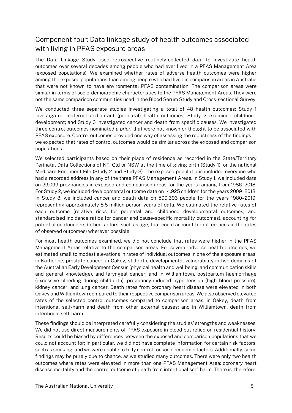#### Component four: Data linkage study of health outcomes associated with living in PFAS exposure areas

The Data Linkage Study used retrospective routinely-collected data to investigate health outcomes over several decades among people who had ever lived in a PFAS Management Area (exposed populations). We examined whether rates of adverse health outcomes were higher among the exposed populations than among people who had lived in comparison areas in Australia that were not known to have environmental PFAS contamination. The comparison areas were similar in terms of socio-demographic characteristics to the PFAS Management Areas. They were not the same comparison communities used in the Blood Serum Study and Cross-sectional Survey.

We conducted three separate studies investigating a total of 48 health outcomes: Study 1 investigated maternal and infant (perinatal) health outcomes; Study 2 examined childhood development; and Study 3 investigated cancer and death from specific causes. We investigated three control outcomes nominated *a priori* that were not known or thought to be associated with PFAS exposure. Control outcomes provided one way of assessing the robustness of the findings we expected that rates of control outcomes would be similar across the exposed and comparison populations.

We selected participants based on their place of residence as recorded in the State/Territory Perinatal Data Collections of NT, Qld or NSW at the time of giving birth (Study 1), or the national Medicare Enrolment File (Study 2 and Study 3). The exposed populations included everyone who had a recorded address in any of the three PFAS Management Areas. In Study 1, we included data on 29,099 pregnancies in exposed and comparison areas for the years ranging from 1986–2018. For Study 2, we included developmental outcome data on 14,925 children for the years 2009–2018. In Study 3, we included cancer and death data on 599,393 people for the years 1980–2019, representing approximately 8.5 million person-years of data. We estimated the relative rates of each outcome (relative risks for perinatal and childhood developmental outcomes, and standardised incidence ratios for cancer and cause-specific mortality outcomes), accounting for potential confounders (other factors, such as age, that could account for differences in the rates of observed outcomes) wherever possible.

For most health outcomes examined, we did not conclude that rates were higher in the PFAS Management Areas relative to the comparison areas. For several adverse health outcomes, we estimated small to modest elevations in rates of individual outcomes in one of the exposure areas: in Katherine, prostate cancer; in Oakey, stillbirth, developmental vulnerability in two domains of the Australian Early Development Census (physical health and wellbeing, and communication skills and general knowledge), and laryngeal cancer; and in Williamtown, postpartum haemorrhage (excessive bleeding during childbirth), pregnancy-induced hypertension (high blood pressure), kidney cancer, and lung cancer. Death rates from coronary heart disease were elevated in both Oakey and Williamtown compared to their respective comparison areas. We also observed elevated rates of the selected control outcomes compared to comparison areas: in Oakey, death from intentional self-harm and death from other external causes; and in Williamtown, death from intentional self-harm.

These findings should be interpreted carefully considering the studies' strengths and weaknesses. We did not use direct measurements of PFAS exposure in blood but relied on residential history. Results could be biased by differences between the exposed and comparison populations that we could not account for; in particular, we did not have complete information for certain risk factors, such as smoking, and we were unable to fully control for socioeconomic factors. Additionally, some findings may be purely due to chance, as we studied many outcomes. There were only two health outcomes where rates were elevated in more than one PFAS Management Area: coronary heart disease mortality and the control outcome of death from intentional self-harm. There is, therefore,